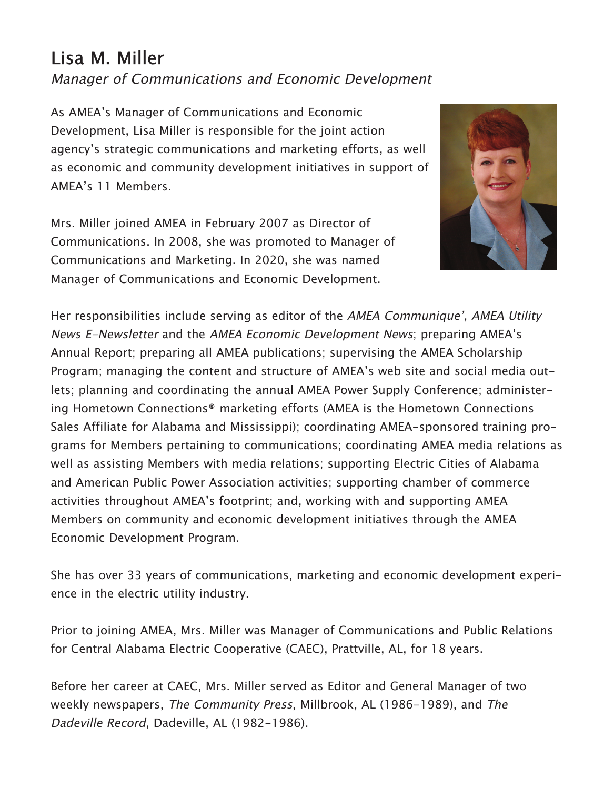## Lisa M. Miller

## Manager of Communications and Economic Development

As AMEA's Manager of Communications and Economic Development, Lisa Miller is responsible for the joint action agency's strategic communications and marketing efforts, as well as economic and community development initiatives in support of AMEA's 11 Members.

Mrs. Miller joined AMEA in February 2007 as Director of Communications. In 2008, she was promoted to Manager of Communications and Marketing. In 2020, she was named Manager of Communications and Economic Development.



Her responsibilities include serving as editor of the AMEA Communique', AMEA Utility News E-Newsletter and the AMEA Economic Development News; preparing AMEA's Annual Report; preparing all AMEA publications; supervising the AMEA Scholarship Program; managing the content and structure of AMEA's web site and social media outlets; planning and coordinating the annual AMEA Power Supply Conference; administering Hometown Connections® marketing efforts (AMEA is the Hometown Connections Sales Affiliate for Alabama and Mississippi); coordinating AMEA-sponsored training programs for Members pertaining to communications; coordinating AMEA media relations as well as assisting Members with media relations; supporting Electric Cities of Alabama and American Public Power Association activities; supporting chamber of commerce activities throughout AMEA's footprint; and, working with and supporting AMEA Members on community and economic development initiatives through the AMEA Economic Development Program.

She has over 33 years of communications, marketing and economic development experience in the electric utility industry.

Prior to joining AMEA, Mrs. Miller was Manager of Communications and Public Relations for Central Alabama Electric Cooperative (CAEC), Prattville, AL, for 18 years.

Before her career at CAEC, Mrs. Miller served as Editor and General Manager of two weekly newspapers, The Community Press, Millbrook, AL (1986-1989), and The Dadeville Record, Dadeville, AL (1982-1986).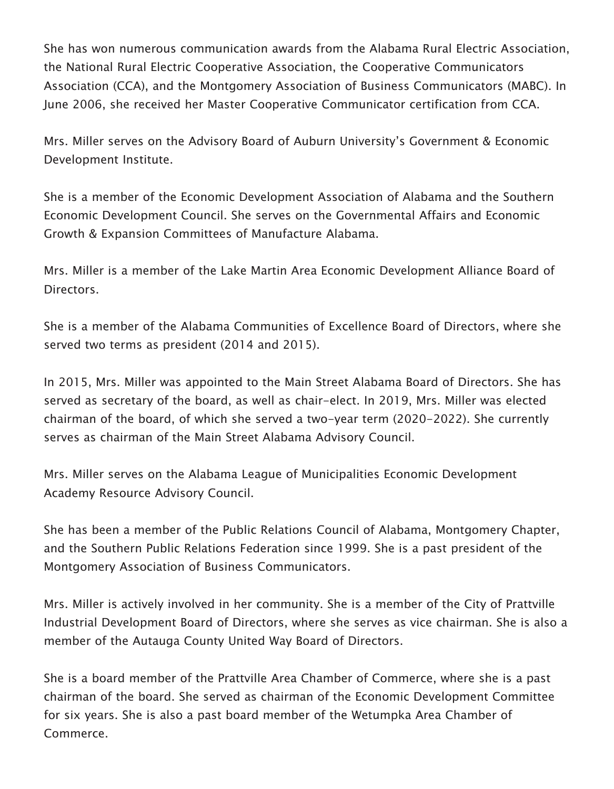She has won numerous communication awards from the Alabama Rural Electric Association, the National Rural Electric Cooperative Association, the Cooperative Communicators Association (CCA), and the Montgomery Association of Business Communicators (MABC). In June 2006, she received her Master Cooperative Communicator certification from CCA.

Mrs. Miller serves on the Advisory Board of Auburn University's Government & Economic Development Institute.

She is a member of the Economic Development Association of Alabama and the Southern Economic Development Council. She serves on the Governmental Affairs and Economic Growth & Expansion Committees of Manufacture Alabama.

Mrs. Miller is a member of the Lake Martin Area Economic Development Alliance Board of Directors.

She is a member of the Alabama Communities of Excellence Board of Directors, where she served two terms as president (2014 and 2015).

In 2015, Mrs. Miller was appointed to the Main Street Alabama Board of Directors. She has served as secretary of the board, as well as chair-elect. In 2019, Mrs. Miller was elected chairman of the board, of which she served a two-year term (2020-2022). She currently serves as chairman of the Main Street Alabama Advisory Council.

Mrs. Miller serves on the Alabama League of Municipalities Economic Development Academy Resource Advisory Council.

She has been a member of the Public Relations Council of Alabama, Montgomery Chapter, and the Southern Public Relations Federation since 1999. She is a past president of the Montgomery Association of Business Communicators.

Mrs. Miller is actively involved in her community. She is a member of the City of Prattville Industrial Development Board of Directors, where she serves as vice chairman. She is also a member of the Autauga County United Way Board of Directors.

She is a board member of the Prattville Area Chamber of Commerce, where she is a past chairman of the board. She served as chairman of the Economic Development Committee for six years. She is also a past board member of the Wetumpka Area Chamber of Commerce.